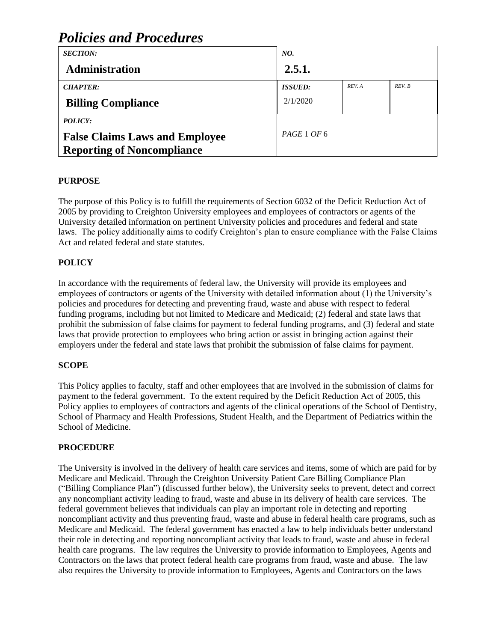#### *SECTION:* **Administration** *NO.* **2.5.1.** *CHAPTER:* **Billing Compliance** *ISSUED:* 2/1/2020 *REV. A REV. B POLICY:* **False Claims Laws and Employee Reporting of Noncompliance** *PAGE* 1 *OF* 6

# *Policies and Procedures*

## **PURPOSE**

The purpose of this Policy is to fulfill the requirements of Section 6032 of the Deficit Reduction Act of 2005 by providing to Creighton University employees and employees of contractors or agents of the University detailed information on pertinent University policies and procedures and federal and state laws. The policy additionally aims to codify Creighton's plan to ensure compliance with the False Claims Act and related federal and state statutes.

## **POLICY**

In accordance with the requirements of federal law, the University will provide its employees and employees of contractors or agents of the University with detailed information about (1) the University's policies and procedures for detecting and preventing fraud, waste and abuse with respect to federal funding programs, including but not limited to Medicare and Medicaid; (2) federal and state laws that prohibit the submission of false claims for payment to federal funding programs, and (3) federal and state laws that provide protection to employees who bring action or assist in bringing action against their employers under the federal and state laws that prohibit the submission of false claims for payment.

## **SCOPE**

This Policy applies to faculty, staff and other employees that are involved in the submission of claims for payment to the federal government. To the extent required by the Deficit Reduction Act of 2005, this Policy applies to employees of contractors and agents of the clinical operations of the School of Dentistry, School of Pharmacy and Health Professions, Student Health, and the Department of Pediatrics within the School of Medicine.

### **PROCEDURE**

The University is involved in the delivery of health care services and items, some of which are paid for by Medicare and Medicaid. Through the Creighton University Patient Care Billing Compliance Plan ("Billing Compliance Plan") (discussed further below), the University seeks to prevent, detect and correct any noncompliant activity leading to fraud, waste and abuse in its delivery of health care services. The federal government believes that individuals can play an important role in detecting and reporting noncompliant activity and thus preventing fraud, waste and abuse in federal health care programs, such as Medicare and Medicaid. The federal government has enacted a law to help individuals better understand their role in detecting and reporting noncompliant activity that leads to fraud, waste and abuse in federal health care programs. The law requires the University to provide information to Employees, Agents and Contractors on the laws that protect federal health care programs from fraud, waste and abuse. The law also requires the University to provide information to Employees, Agents and Contractors on the laws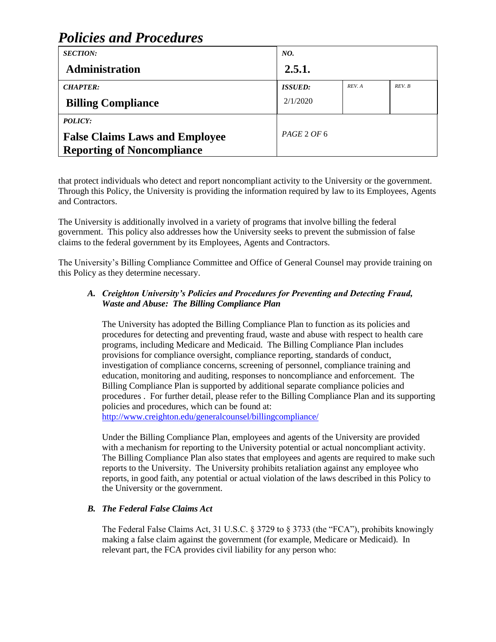# *Policies and Procedures*

| <b>SECTION:</b>                       | NO.            |        |        |
|---------------------------------------|----------------|--------|--------|
| <b>Administration</b>                 | 2.5.1.         |        |        |
| <b>CHAPTER:</b>                       | <b>ISSUED:</b> | REV. A | REV. B |
| <b>Billing Compliance</b>             | 2/1/2020       |        |        |
| POLICY:                               |                |        |        |
| <b>False Claims Laws and Employee</b> | PAGE 2 OF 6    |        |        |
| <b>Reporting of Noncompliance</b>     |                |        |        |

that protect individuals who detect and report noncompliant activity to the University or the government. Through this Policy, the University is providing the information required by law to its Employees, Agents and Contractors.

The University is additionally involved in a variety of programs that involve billing the federal government. This policy also addresses how the University seeks to prevent the submission of false claims to the federal government by its Employees, Agents and Contractors.

The University's Billing Compliance Committee and Office of General Counsel may provide training on this Policy as they determine necessary.

### *A. Creighton University's Policies and Procedures for Preventing and Detecting Fraud, Waste and Abuse: The Billing Compliance Plan*

The University has adopted the Billing Compliance Plan to function as its policies and procedures for detecting and preventing fraud, waste and abuse with respect to health care programs, including Medicare and Medicaid. The Billing Compliance Plan includes provisions for compliance oversight, compliance reporting, standards of conduct, investigation of compliance concerns, screening of personnel, compliance training and education, monitoring and auditing, responses to noncompliance and enforcement. The Billing Compliance Plan is supported by additional separate compliance policies and procedures . For further detail, please refer to the Billing Compliance Plan and its supporting policies and procedures, which can be found at:

<http://www.creighton.edu/generalcounsel/billingcompliance/>

Under the Billing Compliance Plan, employees and agents of the University are provided with a mechanism for reporting to the University potential or actual noncompliant activity. The Billing Compliance Plan also states that employees and agents are required to make such reports to the University. The University prohibits retaliation against any employee who reports, in good faith, any potential or actual violation of the laws described in this Policy to the University or the government.

## *B. The Federal False Claims Act*

The Federal False Claims Act, 31 U.S.C. § 3729 to § 3733 (the "FCA"), prohibits knowingly making a false claim against the government (for example, Medicare or Medicaid). In relevant part, the FCA provides civil liability for any person who: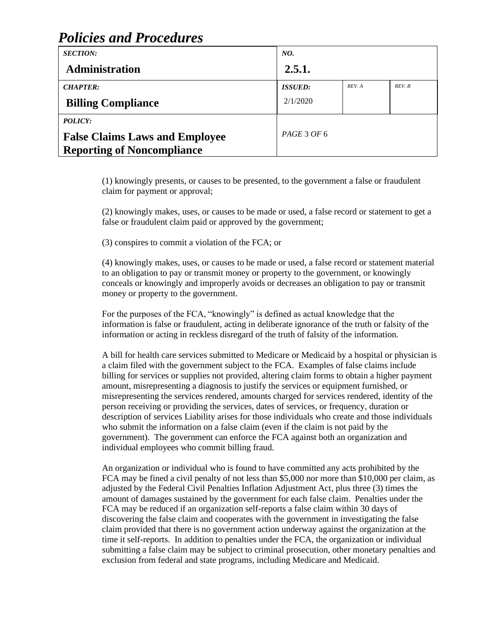## *Policies and Procedures*

| <b>SECTION:</b>                                                                              | NO.            |        |        |
|----------------------------------------------------------------------------------------------|----------------|--------|--------|
| <b>Administration</b>                                                                        | 2.5.1.         |        |        |
| <b>CHAPTER:</b>                                                                              | <b>ISSUED:</b> | REV. A | REV. B |
| <b>Billing Compliance</b>                                                                    | 2/1/2020       |        |        |
| <b>POLICY:</b><br><b>False Claims Laws and Employee</b><br><b>Reporting of Noncompliance</b> | PAGE 3 OF 6    |        |        |

(1) knowingly presents, or causes to be presented, to the government a false or fraudulent claim for payment or approval;

(2) knowingly makes, uses, or causes to be made or used, a false record or statement to get a false or fraudulent claim paid or approved by the government;

(3) conspires to commit a violation of the FCA; or

(4) knowingly makes, uses, or causes to be made or used, a false record or statement material to an obligation to pay or transmit money or property to the government, or knowingly conceals or knowingly and improperly avoids or decreases an obligation to pay or transmit money or property to the government.

For the purposes of the FCA, "knowingly" is defined as actual knowledge that the information is false or fraudulent, acting in deliberate ignorance of the truth or falsity of the information or acting in reckless disregard of the truth of falsity of the information.

A bill for health care services submitted to Medicare or Medicaid by a hospital or physician is a claim filed with the government subject to the FCA. Examples of false claims include billing for services or supplies not provided, altering claim forms to obtain a higher payment amount, misrepresenting a diagnosis to justify the services or equipment furnished, or misrepresenting the services rendered, amounts charged for services rendered, identity of the person receiving or providing the services, dates of services, or frequency, duration or description of services Liability arises for those individuals who create and those individuals who submit the information on a false claim (even if the claim is not paid by the government). The government can enforce the FCA against both an organization and individual employees who commit billing fraud.

An organization or individual who is found to have committed any acts prohibited by the FCA may be fined a civil penalty of not less than \$5,000 nor more than \$10,000 per claim, as adjusted by the Federal Civil Penalties Inflation Adjustment Act, plus three (3) times the amount of damages sustained by the government for each false claim. Penalties under the FCA may be reduced if an organization self-reports a false claim within 30 days of discovering the false claim and cooperates with the government in investigating the false claim provided that there is no government action underway against the organization at the time it self-reports. In addition to penalties under the FCA, the organization or individual submitting a false claim may be subject to criminal prosecution, other monetary penalties and exclusion from federal and state programs, including Medicare and Medicaid.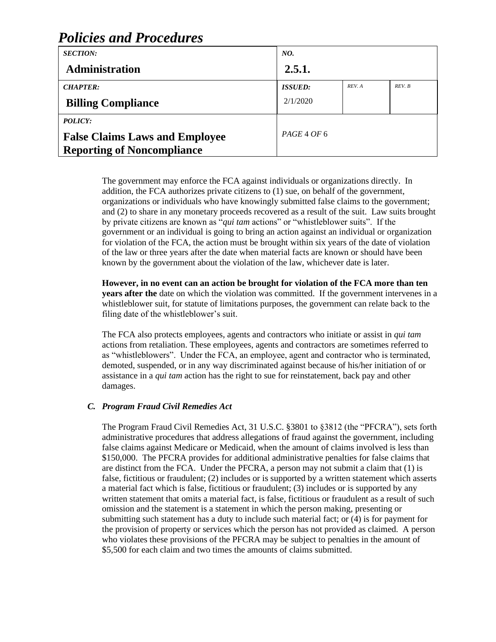#### *SECTION:* **Administration** *NO.* **2.5.1.** *CHAPTER:* **Billing Compliance** *ISSUED:* 2/1/2020 *REV. A REV. B POLICY:* **False Claims Laws and Employee Reporting of Noncompliance** *PAGE* 4 *OF* 6

*Policies and Procedures*

The government may enforce the FCA against individuals or organizations directly. In addition, the FCA authorizes private citizens to (1) sue, on behalf of the government, organizations or individuals who have knowingly submitted false claims to the government; and (2) to share in any monetary proceeds recovered as a result of the suit. Law suits brought by private citizens are known as "*qui tam* actions" or "whistleblower suits". If the government or an individual is going to bring an action against an individual or organization for violation of the FCA, the action must be brought within six years of the date of violation of the law or three years after the date when material facts are known or should have been known by the government about the violation of the law, whichever date is later.

**However, in no event can an action be brought for violation of the FCA more than ten years after the** date on which the violation was committed. If the government intervenes in a whistleblower suit, for statute of limitations purposes, the government can relate back to the filing date of the whistleblower's suit.

The FCA also protects employees, agents and contractors who initiate or assist in *qui tam* actions from retaliation. These employees, agents and contractors are sometimes referred to as "whistleblowers". Under the FCA, an employee, agent and contractor who is terminated, demoted, suspended, or in any way discriminated against because of his/her initiation of or assistance in a *qui tam* action has the right to sue for reinstatement, back pay and other damages.

### *C. Program Fraud Civil Remedies Act*

The Program Fraud Civil Remedies Act, 31 U.S.C. §3801 to §3812 (the "PFCRA"), sets forth administrative procedures that address allegations of fraud against the government, including false claims against Medicare or Medicaid, when the amount of claims involved is less than \$150,000. The PFCRA provides for additional administrative penalties for false claims that are distinct from the FCA. Under the PFCRA, a person may not submit a claim that (1) is false, fictitious or fraudulent; (2) includes or is supported by a written statement which asserts a material fact which is false, fictitious or fraudulent; (3) includes or is supported by any written statement that omits a material fact, is false, fictitious or fraudulent as a result of such omission and the statement is a statement in which the person making, presenting or submitting such statement has a duty to include such material fact; or (4) is for payment for the provision of property or services which the person has not provided as claimed. A person who violates these provisions of the PFCRA may be subject to penalties in the amount of \$5,500 for each claim and two times the amounts of claims submitted.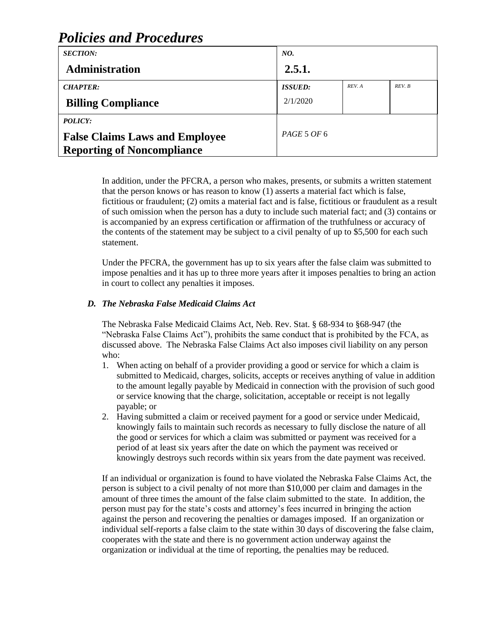## *Policies and Procedures SECTION: NO.*

| 2.5.1.         |        |        |
|----------------|--------|--------|
| <b>ISSUED:</b> | REV. A | REV. B |
| 2/1/2020       |        |        |
|                |        |        |
| PAGE 5 OF 6    |        |        |
|                |        |        |
|                |        |        |

In addition, under the PFCRA, a person who makes, presents, or submits a written statement that the person knows or has reason to know (1) asserts a material fact which is false, fictitious or fraudulent; (2) omits a material fact and is false, fictitious or fraudulent as a result of such omission when the person has a duty to include such material fact; and (3) contains or is accompanied by an express certification or affirmation of the truthfulness or accuracy of the contents of the statement may be subject to a civil penalty of up to \$5,500 for each such statement.

Under the PFCRA, the government has up to six years after the false claim was submitted to impose penalties and it has up to three more years after it imposes penalties to bring an action in court to collect any penalties it imposes.

## *D. The Nebraska False Medicaid Claims Act*

The Nebraska False Medicaid Claims Act, Neb. Rev. Stat. § 68-934 to §68-947 (the "Nebraska False Claims Act"), prohibits the same conduct that is prohibited by the FCA, as discussed above. The Nebraska False Claims Act also imposes civil liability on any person who:

- 1. When acting on behalf of a provider providing a good or service for which a claim is submitted to Medicaid, charges, solicits, accepts or receives anything of value in addition to the amount legally payable by Medicaid in connection with the provision of such good or service knowing that the charge, solicitation, acceptable or receipt is not legally payable; or
- 2. Having submitted a claim or received payment for a good or service under Medicaid, knowingly fails to maintain such records as necessary to fully disclose the nature of all the good or services for which a claim was submitted or payment was received for a period of at least six years after the date on which the payment was received or knowingly destroys such records within six years from the date payment was received.

If an individual or organization is found to have violated the Nebraska False Claims Act, the person is subject to a civil penalty of not more than \$10,000 per claim and damages in the amount of three times the amount of the false claim submitted to the state. In addition, the person must pay for the state's costs and attorney's fees incurred in bringing the action against the person and recovering the penalties or damages imposed. If an organization or individual self-reports a false claim to the state within 30 days of discovering the false claim, cooperates with the state and there is no government action underway against the organization or individual at the time of reporting, the penalties may be reduced.